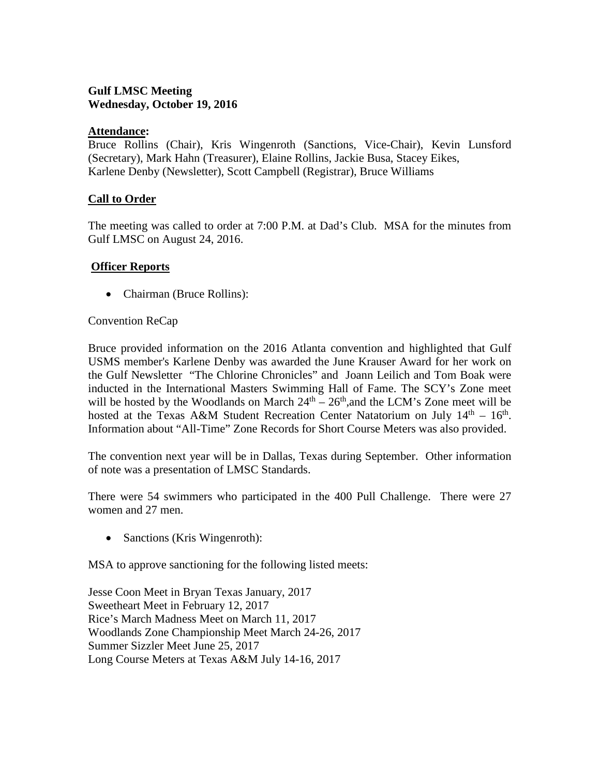# **Gulf LMSC Meeting Wednesday, October 19, 2016**

# **Attendance:**

Bruce Rollins (Chair), Kris Wingenroth (Sanctions, Vice-Chair), Kevin Lunsford (Secretary), Mark Hahn (Treasurer), Elaine Rollins, Jackie Busa, Stacey Eikes, Karlene Denby (Newsletter), Scott Campbell (Registrar), Bruce Williams

# **Call to Order**

The meeting was called to order at 7:00 P.M. at Dad's Club. MSA for the minutes from Gulf LMSC on August 24, 2016.

## **Officer Reports**

• Chairman (Bruce Rollins):

## Convention ReCap

Bruce provided information on the 2016 Atlanta convention and highlighted that Gulf USMS member's Karlene Denby was awarded the June Krauser Award for her work on the Gulf Newsletter "The Chlorine Chronicles" and Joann Leilich and Tom Boak were inducted in the International Masters Swimming Hall of Fame. The SCY's Zone meet will be hosted by the Woodlands on March  $24<sup>th</sup> - 26<sup>th</sup>$ , and the LCM's Zone meet will be hosted at the Texas A&M Student Recreation Center Natatorium on July  $14<sup>th</sup> - 16<sup>th</sup>$ . Information about "All-Time" Zone Records for Short Course Meters was also provided.

The convention next year will be in Dallas, Texas during September. Other information of note was a presentation of LMSC Standards.

There were 54 swimmers who participated in the 400 Pull Challenge. There were 27 women and 27 men.

• Sanctions (Kris Wingenroth):

MSA to approve sanctioning for the following listed meets:

Jesse Coon Meet in Bryan Texas January, 2017 Sweetheart Meet in February 12, 2017 Rice's March Madness Meet on March 11, 2017 Woodlands Zone Championship Meet March 24-26, 2017 Summer Sizzler Meet June 25, 2017 Long Course Meters at Texas A&M July 14-16, 2017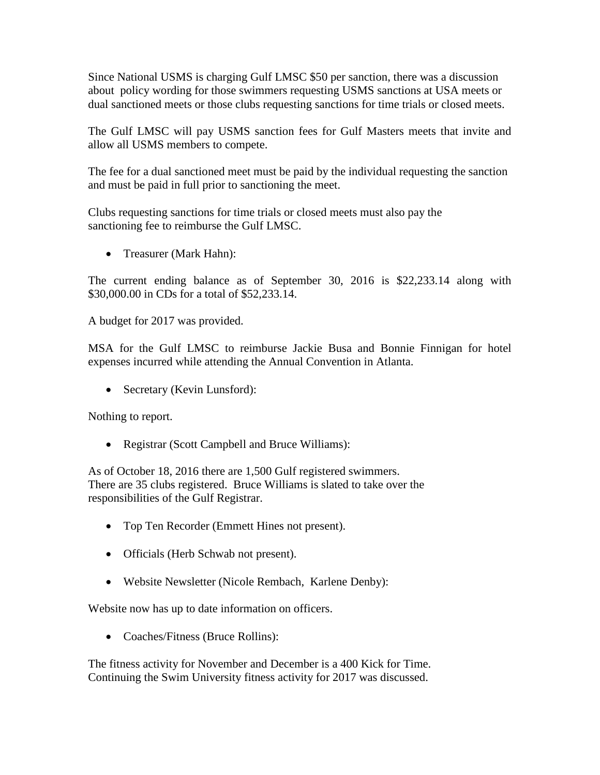Since National USMS is charging Gulf LMSC \$50 per sanction, there was a discussion about policy wording for those swimmers requesting USMS sanctions at USA meets or dual sanctioned meets or those clubs requesting sanctions for time trials or closed meets.

The Gulf LMSC will pay USMS sanction fees for Gulf Masters meets that invite and allow all USMS members to compete.

The fee for a dual sanctioned meet must be paid by the individual requesting the sanction and must be paid in full prior to sanctioning the meet.

Clubs requesting sanctions for time trials or closed meets must also pay the sanctioning fee to reimburse the Gulf LMSC.

• Treasurer (Mark Hahn):

The current ending balance as of September 30, 2016 is \$22,233.14 along with \$30,000.00 in CDs for a total of \$52,233.14.

A budget for 2017 was provided.

MSA for the Gulf LMSC to reimburse Jackie Busa and Bonnie Finnigan for hotel expenses incurred while attending the Annual Convention in Atlanta.

• Secretary (Kevin Lunsford):

Nothing to report.

• Registrar (Scott Campbell and Bruce Williams):

As of October 18, 2016 there are 1,500 Gulf registered swimmers. There are 35 clubs registered. Bruce Williams is slated to take over the responsibilities of the Gulf Registrar.

- Top Ten Recorder (Emmett Hines not present).
- Officials (Herb Schwab not present).
- Website Newsletter (Nicole Rembach, Karlene Denby):

Website now has up to date information on officers.

• Coaches/Fitness (Bruce Rollins):

The fitness activity for November and December is a 400 Kick for Time. Continuing the Swim University fitness activity for 2017 was discussed.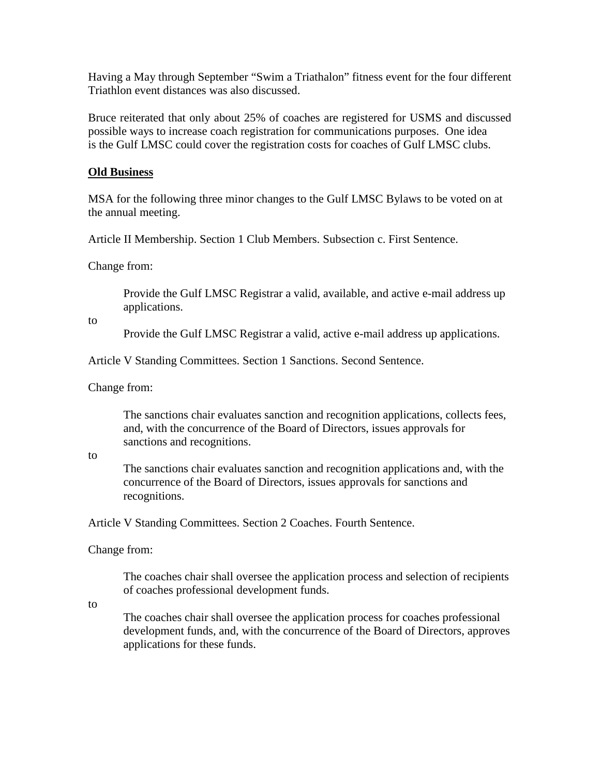Having a May through September "Swim a Triathalon" fitness event for the four different Triathlon event distances was also discussed.

Bruce reiterated that only about 25% of coaches are registered for USMS and discussed possible ways to increase coach registration for communications purposes. One idea is the Gulf LMSC could cover the registration costs for coaches of Gulf LMSC clubs.

## **Old Business**

MSA for the following three minor changes to the Gulf LMSC Bylaws to be voted on at the annual meeting.

Article II Membership. Section 1 Club Members. Subsection c. First Sentence.

Change from:

Provide the Gulf LMSC Registrar a valid, available, and active e-mail address up applications.

to

Provide the Gulf LMSC Registrar a valid, active e-mail address up applications.

Article V Standing Committees. Section 1 Sanctions. Second Sentence.

Change from:

The sanctions chair evaluates sanction and recognition applications, collects fees, and, with the concurrence of the Board of Directors, issues approvals for sanctions and recognitions.

to

The sanctions chair evaluates sanction and recognition applications and, with the concurrence of the Board of Directors, issues approvals for sanctions and recognitions.

Article V Standing Committees. Section 2 Coaches. Fourth Sentence.

Change from:

The coaches chair shall oversee the application process and selection of recipients of coaches professional development funds.

to

The coaches chair shall oversee the application process for coaches professional development funds, and, with the concurrence of the Board of Directors, approves applications for these funds.